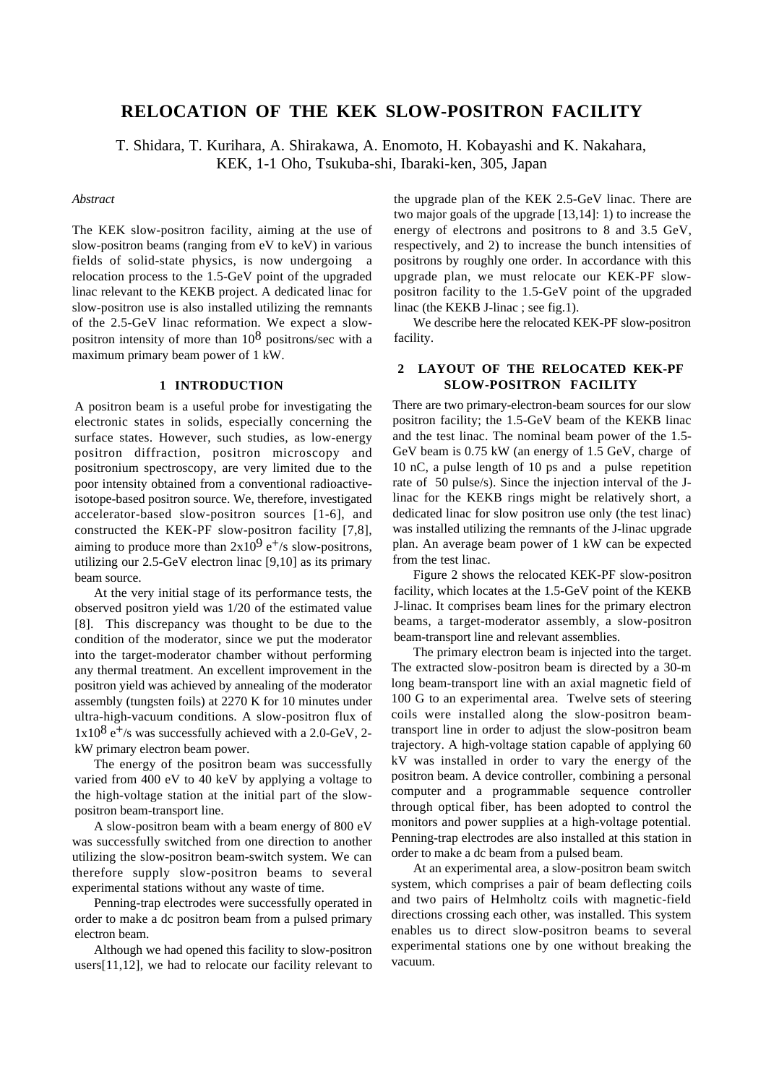# **RELOCATION OF THE KEK SLOW-POSITRON FACILITY**

T. Shidara, T. Kurihara, A. Shirakawa, A. Enomoto, H. Kobayashi and K. Nakahara, KEK, 1-1 Oho, Tsukuba-shi, Ibaraki-ken, 305, Japan

#### *Abstract*

The KEK slow-positron facility, aiming at the use of slow-positron beams (ranging from eV to keV) in various fields of solid-state physics, is now undergoing a relocation process to the 1.5-GeV point of the upgraded linac relevant to the KEKB project. A dedicated linac for slow-positron use is also installed utilizing the remnants of the 2.5-GeV linac reformation. We expect a slowpositron intensity of more than  $10^8$  positrons/sec with a maximum primary beam power of 1 kW.

## **1 INTRODUCTION**

A positron beam is a useful probe for investigating the electronic states in solids, especially concerning the surface states. However, such studies, as low-energy positron diffraction, positron microscopy and positronium spectroscopy, are very limited due to the poor intensity obtained from a conventional radioactiveisotope-based positron source. We, therefore, investigated accelerator-based slow-positron sources [1-6], and constructed the KEK-PF slow-positron facility [7,8], aiming to produce more than  $2x10^9$  e<sup>+</sup>/s slow-positrons, utilizing our 2.5-GeV electron linac [9,10] as its primary beam source.

At the very initial stage of its performance tests, the observed positron yield was 1/20 of the estimated value [8]. This discrepancy was thought to be due to the condition of the moderator, since we put the moderator into the target-moderator chamber without performing any thermal treatment. An excellent improvement in the positron yield was achieved by annealing of the moderator assembly (tungsten foils) at 2270 K for 10 minutes under ultra-high-vacuum conditions. A slow-positron flux of  $1x10^8$  e<sup>+</sup>/s was successfully achieved with a 2.0-GeV, 2kW primary electron beam power.

The energy of the positron beam was successfully varied from 400 eV to 40 keV by applying a voltage to the high-voltage station at the initial part of the slowpositron beam-transport line.

A slow-positron beam with a beam energy of 800 eV was successfully switched from one direction to another utilizing the slow-positron beam-switch system. We can therefore supply slow-positron beams to several experimental stations without any waste of time.

Penning-trap electrodes were successfully operated in order to make a dc positron beam from a pulsed primary electron beam.

Although we had opened this facility to slow-positron users[11,12], we had to relocate our facility relevant to the upgrade plan of the KEK 2.5-GeV linac. There are two major goals of the upgrade [13,14]: 1) to increase the energy of electrons and positrons to 8 and 3.5 GeV, respectively, and 2) to increase the bunch intensities of positrons by roughly one order. In accordance with this upgrade plan, we must relocate our KEK-PF slowpositron facility to the 1.5-GeV point of the upgraded linac (the KEKB J-linac ; see fig.1).

We describe here the relocated KEK-PF slow-positron facility.

# **2 LAYOUT OF THE RELOCATED KEK-PF SLOW-POSITRON FACILITY**

There are two primary-electron-beam sources for our slow positron facility; the 1.5-GeV beam of the KEKB linac and the test linac. The nominal beam power of the 1.5- GeV beam is 0.75 kW (an energy of 1.5 GeV, charge of 10 nC, a pulse length of 10 ps and a pulse repetition rate of 50 pulse/s). Since the injection interval of the Jlinac for the KEKB rings might be relatively short, a dedicated linac for slow positron use only (the test linac) was installed utilizing the remnants of the J-linac upgrade plan. An average beam power of 1 kW can be expected from the test linac.

Figure 2 shows the relocated KEK-PF slow-positron facility, which locates at the 1.5-GeV point of the KEKB J-linac. It comprises beam lines for the primary electron beams, a target-moderator assembly, a slow-positron beam-transport line and relevant assemblies.

The primary electron beam is injected into the target. The extracted slow-positron beam is directed by a 30-m long beam-transport line with an axial magnetic field of 100 G to an experimental area. Twelve sets of steering coils were installed along the slow-positron beamtransport line in order to adjust the slow-positron beam trajectory. A high-voltage station capable of applying 60 kV was installed in order to vary the energy of the positron beam. A device controller, combining a personal computer and a programmable sequence controller through optical fiber, has been adopted to control the monitors and power supplies at a high-voltage potential. Penning-trap electrodes are also installed at this station in order to make a dc beam from a pulsed beam.

At an experimental area, a slow-positron beam switch system, which comprises a pair of beam deflecting coils and two pairs of Helmholtz coils with magnetic-field directions crossing each other, was installed. This system enables us to direct slow-positron beams to several experimental stations one by one without breaking the vacuum.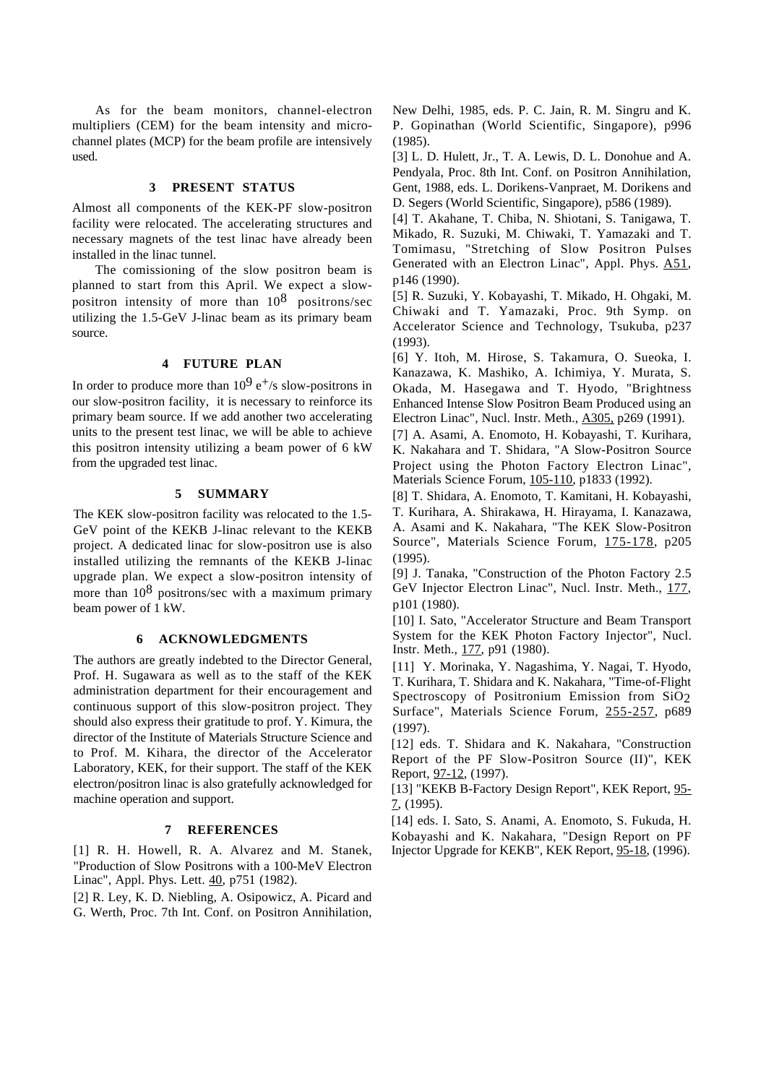As for the beam monitors, channel-electron multipliers (CEM) for the beam intensity and microchannel plates (MCP) for the beam profile are intensively used.

#### **3 PRESENT STATUS**

Almost all components of the KEK-PF slow-positron facility were relocated. The accelerating structures and necessary magnets of the test linac have already been installed in the linac tunnel.

The comissioning of the slow positron beam is planned to start from this April. We expect a slowpositron intensity of more than  $10^8$  positrons/sec utilizing the 1.5-GeV J-linac beam as its primary beam source.

# **4 FUTURE PLAN**

In order to produce more than  $10^9$  e<sup>+</sup>/s slow-positrons in our slow-positron facility, it is necessary to reinforce its primary beam source. If we add another two accelerating units to the present test linac, we will be able to achieve this positron intensity utilizing a beam power of 6 kW from the upgraded test linac.

## **5 SUMMARY**

The KEK slow-positron facility was relocated to the 1.5- GeV point of the KEKB J-linac relevant to the KEKB project. A dedicated linac for slow-positron use is also installed utilizing the remnants of the KEKB J-linac upgrade plan. We expect a slow-positron intensity of more than  $10^8$  positrons/sec with a maximum primary beam power of 1 kW.

# **6 ACKNOWLEDGMENTS**

The authors are greatly indebted to the Director General, Prof. H. Sugawara as well as to the staff of the KEK administration department for their encouragement and continuous support of this slow-positron project. They should also express their gratitude to prof. Y. Kimura, the director of the Institute of Materials Structure Science and to Prof. M. Kihara, the director of the Accelerator Laboratory, KEK, for their support. The staff of the KEK electron/positron linac is also gratefully acknowledged for machine operation and support.

## **7 REFERENCES**

[1] R. H. Howell, R. A. Alvarez and M. Stanek, "Production of Slow Positrons with a 100-MeV Electron Linac", Appl. Phys. Lett. 40, p751 (1982).

[2] R. Ley, K. D. Niebling, A. Osipowicz, A. Picard and G. Werth, Proc. 7th Int. Conf. on Positron Annihilation,

New Delhi, 1985, eds. P. C. Jain, R. M. Singru and K. P. Gopinathan (World Scientific, Singapore), p996 (1985).

[3] L. D. Hulett, Jr., T. A. Lewis, D. L. Donohue and A. Pendyala, Proc. 8th Int. Conf. on Positron Annihilation, Gent, 1988, eds. L. Dorikens-Vanpraet, M. Dorikens and D. Segers (World Scientific, Singapore), p586 (1989).

[4] T. Akahane, T. Chiba, N. Shiotani, S. Tanigawa, T. Mikado, R. Suzuki, M. Chiwaki, T. Yamazaki and T. Tomimasu, "Stretching of Slow Positron Pulses Generated with an Electron Linac", Appl. Phys. A51, p146 (1990).

[5] R. Suzuki, Y. Kobayashi, T. Mikado, H. Ohgaki, M. Chiwaki and T. Yamazaki, Proc. 9th Symp. on Accelerator Science and Technology, Tsukuba, p237 (1993).

[6] Y. Itoh, M. Hirose, S. Takamura, O. Sueoka, I. Kanazawa, K. Mashiko, A. Ichimiya, Y. Murata, S. Okada, M. Hasegawa and T. Hyodo, "Brightness Enhanced Intense Slow Positron Beam Produced using an Electron Linac", Nucl. Instr. Meth., A305, p269 (1991).

[7] A. Asami, A. Enomoto, H. Kobayashi, T. Kurihara, K. Nakahara and T. Shidara, "A Slow-Positron Source Project using the Photon Factory Electron Linac", Materials Science Forum, 105-110, p1833 (1992).

[8] T. Shidara, A. Enomoto, T. Kamitani, H. Kobayashi, T. Kurihara, A. Shirakawa, H. Hirayama, I. Kanazawa, A. Asami and K. Nakahara, "The KEK Slow-Positron Source", Materials Science Forum, 175-178, p205 (1995).

[9] J. Tanaka, "Construction of the Photon Factory 2.5 GeV Injector Electron Linac", Nucl. Instr. Meth., 177, p101 (1980).

[10] I. Sato, "Accelerator Structure and Beam Transport System for the KEK Photon Factory Injector", Nucl. Instr. Meth., 177, p91 (1980).

[11] Y. Morinaka, Y. Nagashima, Y. Nagai, T. Hyodo, T. Kurihara, T. Shidara and K. Nakahara, "Time-of-Flight Spectroscopy of Positronium Emission from SiO2 Surface", Materials Science Forum, 255-257, p689 (1997).

[12] eds. T. Shidara and K. Nakahara, "Construction Report of the PF Slow-Positron Source (II)", KEK Report, 97-12, (1997).

[13] "KEKB B-Factory Design Report", KEK Report, 95-  $7, (1995)$ .

[14] eds. I. Sato, S. Anami, A. Enomoto, S. Fukuda, H. Kobayashi and K. Nakahara, "Design Report on PF Injector Upgrade for KEKB", KEK Report, 95-18, (1996).